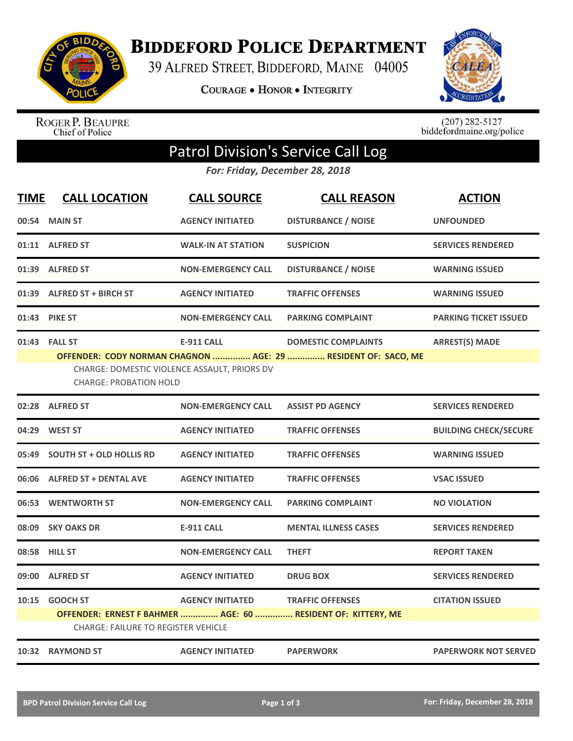

**BIDDEFORD POLICE DEPARTMENT** 

39 ALFRED STREET, BIDDEFORD, MAINE 04005

COURAGE . HONOR . INTEGRITY



ROGER P. BEAUPRE<br>Chief of Police

 $(207)$  282-5127<br>biddefordmaine.org/police

## Patrol Division's Service Call Log

*For: Friday, December 28, 2018*

| <b>TIME</b> | <b>CALL LOCATION</b>                                                                                                                                                                                                                        | <b>CALL SOURCE</b>        | <b>CALL REASON</b>                                                                      | <b>ACTION</b>                |  |  |
|-------------|---------------------------------------------------------------------------------------------------------------------------------------------------------------------------------------------------------------------------------------------|---------------------------|-----------------------------------------------------------------------------------------|------------------------------|--|--|
|             | 00:54 MAIN ST                                                                                                                                                                                                                               | <b>AGENCY INITIATED</b>   | <b>DISTURBANCE / NOISE</b>                                                              | <b>UNFOUNDED</b>             |  |  |
|             | 01:11 ALFRED ST                                                                                                                                                                                                                             | <b>WALK-IN AT STATION</b> | <b>SUSPICION</b>                                                                        | <b>SERVICES RENDERED</b>     |  |  |
|             | 01:39 ALFRED ST                                                                                                                                                                                                                             | <b>NON-EMERGENCY CALL</b> | <b>DISTURBANCE / NOISE</b>                                                              | <b>WARNING ISSUED</b>        |  |  |
| 01:39       | <b>ALFRED ST + BIRCH ST</b>                                                                                                                                                                                                                 | <b>AGENCY INITIATED</b>   | <b>TRAFFIC OFFENSES</b>                                                                 | <b>WARNING ISSUED</b>        |  |  |
| 01:43       | <b>PIKE ST</b>                                                                                                                                                                                                                              | <b>NON-EMERGENCY CALL</b> | <b>PARKING COMPLAINT</b>                                                                | <b>PARKING TICKET ISSUED</b> |  |  |
|             | 01:43 FALL ST<br><b>E-911 CALL</b><br><b>ARREST(S) MADE</b><br><b>DOMESTIC COMPLAINTS</b><br>OFFENDER: CODY NORMAN CHAGNON  AGE: 29  RESIDENT OF: SACO, ME<br>CHARGE: DOMESTIC VIOLENCE ASSAULT, PRIORS DV<br><b>CHARGE: PROBATION HOLD</b> |                           |                                                                                         |                              |  |  |
|             | 02:28 ALFRED ST                                                                                                                                                                                                                             | <b>NON-EMERGENCY CALL</b> | <b>ASSIST PD AGENCY</b>                                                                 | <b>SERVICES RENDERED</b>     |  |  |
| 04:29       | <b>WEST ST</b>                                                                                                                                                                                                                              | <b>AGENCY INITIATED</b>   | <b>TRAFFIC OFFENSES</b>                                                                 | <b>BUILDING CHECK/SECURE</b> |  |  |
| 05:49       | <b>SOUTH ST + OLD HOLLIS RD</b>                                                                                                                                                                                                             | <b>AGENCY INITIATED</b>   | <b>TRAFFIC OFFENSES</b>                                                                 | <b>WARNING ISSUED</b>        |  |  |
| 06:06       | <b>ALFRED ST + DENTAL AVE</b>                                                                                                                                                                                                               | <b>AGENCY INITIATED</b>   | <b>TRAFFIC OFFENSES</b>                                                                 | <b>VSAC ISSUED</b>           |  |  |
|             | 06:53 WENTWORTH ST                                                                                                                                                                                                                          | <b>NON-EMERGENCY CALL</b> | <b>PARKING COMPLAINT</b>                                                                | <b>NO VIOLATION</b>          |  |  |
| 08:09       | <b>SKY OAKS DR</b>                                                                                                                                                                                                                          | <b>E-911 CALL</b>         | <b>MENTAL ILLNESS CASES</b>                                                             | <b>SERVICES RENDERED</b>     |  |  |
|             | 08:58 HILL ST                                                                                                                                                                                                                               | <b>NON-EMERGENCY CALL</b> | <b>THEFT</b>                                                                            | <b>REPORT TAKEN</b>          |  |  |
| 09:00       | <b>ALFRED ST</b>                                                                                                                                                                                                                            | <b>AGENCY INITIATED</b>   | <b>DRUG BOX</b>                                                                         | <b>SERVICES RENDERED</b>     |  |  |
|             | 10:15 GOOCH ST<br><b>CHARGE: FAILURE TO REGISTER VEHICLE</b>                                                                                                                                                                                | <b>AGENCY INITIATED</b>   | <b>TRAFFIC OFFENSES</b><br>OFFENDER: ERNEST F BAHMER  AGE: 60  RESIDENT OF: KITTERY, ME | <b>CITATION ISSUED</b>       |  |  |
|             | 10:32 RAYMOND ST                                                                                                                                                                                                                            | <b>AGENCY INITIATED</b>   | <b>PAPERWORK</b>                                                                        | <b>PAPERWORK NOT SERVED</b>  |  |  |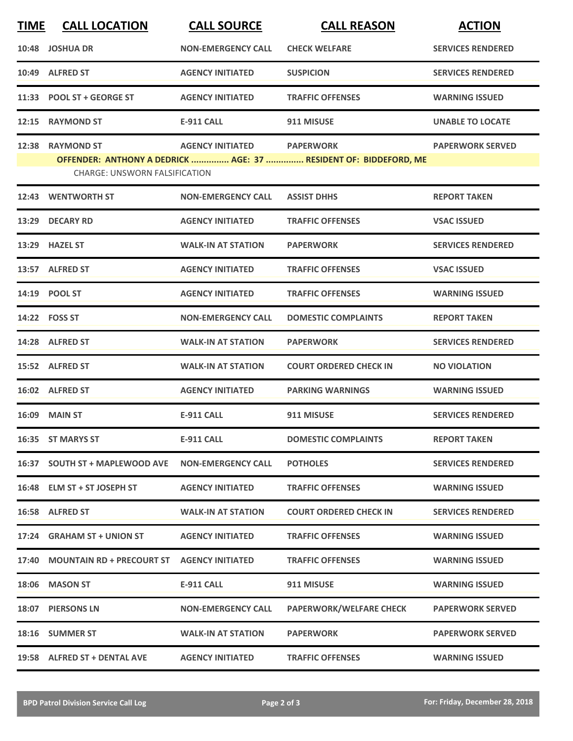| <b>TIME</b> | <b>CALL LOCATION</b>                                     | <b>CALL SOURCE</b>        | <b>CALL REASON</b>                                                                   | <b>ACTION</b>            |
|-------------|----------------------------------------------------------|---------------------------|--------------------------------------------------------------------------------------|--------------------------|
|             | 10:48 JOSHUA DR                                          | <b>NON-EMERGENCY CALL</b> | <b>CHECK WELFARE</b>                                                                 | <b>SERVICES RENDERED</b> |
|             | 10:49 ALFRED ST                                          | <b>AGENCY INITIATED</b>   | <b>SUSPICION</b>                                                                     | <b>SERVICES RENDERED</b> |
|             | 11:33 POOL ST + GEORGE ST                                | <b>AGENCY INITIATED</b>   | <b>TRAFFIC OFFENSES</b>                                                              | <b>WARNING ISSUED</b>    |
|             | 12:15 RAYMOND ST                                         | <b>E-911 CALL</b>         | 911 MISUSE                                                                           | <b>UNABLE TO LOCATE</b>  |
|             | 12:38 RAYMOND ST<br><b>CHARGE: UNSWORN FALSIFICATION</b> | <b>AGENCY INITIATED</b>   | <b>PAPERWORK</b><br>OFFENDER: ANTHONY A DEDRICK  AGE: 37  RESIDENT OF: BIDDEFORD, ME | <b>PAPERWORK SERVED</b>  |
|             | 12:43 WENTWORTH ST                                       | <b>NON-EMERGENCY CALL</b> | <b>ASSIST DHHS</b>                                                                   | <b>REPORT TAKEN</b>      |
|             | 13:29 DECARY RD                                          | <b>AGENCY INITIATED</b>   | <b>TRAFFIC OFFENSES</b>                                                              | <b>VSAC ISSUED</b>       |
|             | 13:29 HAZEL ST                                           | <b>WALK-IN AT STATION</b> | <b>PAPERWORK</b>                                                                     | <b>SERVICES RENDERED</b> |
|             | 13:57 ALFRED ST                                          | <b>AGENCY INITIATED</b>   | <b>TRAFFIC OFFENSES</b>                                                              | <b>VSAC ISSUED</b>       |
|             | 14:19 POOL ST                                            | <b>AGENCY INITIATED</b>   | <b>TRAFFIC OFFENSES</b>                                                              | <b>WARNING ISSUED</b>    |
|             | 14:22    FOSS ST                                         | <b>NON-EMERGENCY CALL</b> | <b>DOMESTIC COMPLAINTS</b>                                                           | <b>REPORT TAKEN</b>      |
|             | 14:28 ALFRED ST                                          | <b>WALK-IN AT STATION</b> | <b>PAPERWORK</b>                                                                     | <b>SERVICES RENDERED</b> |
|             | 15:52 ALFRED ST                                          | <b>WALK-IN AT STATION</b> | <b>COURT ORDERED CHECK IN</b>                                                        | <b>NO VIOLATION</b>      |
|             | 16:02 ALFRED ST                                          | <b>AGENCY INITIATED</b>   | <b>PARKING WARNINGS</b>                                                              | <b>WARNING ISSUED</b>    |
|             | 16:09 MAIN ST                                            | <b>E-911 CALL</b>         | 911 MISUSE                                                                           | <b>SERVICES RENDERED</b> |
|             | 16:35 ST MARYS ST                                        | <b>E-911 CALL</b>         | <b>DOMESTIC COMPLAINTS</b>                                                           | <b>REPORT TAKEN</b>      |
|             | 16:37 SOUTH ST + MAPLEWOOD AVE                           | <b>NON-EMERGENCY CALL</b> | <b>POTHOLES</b>                                                                      | <b>SERVICES RENDERED</b> |
|             | 16:48 ELM ST + ST JOSEPH ST                              | <b>AGENCY INITIATED</b>   | <b>TRAFFIC OFFENSES</b>                                                              | <b>WARNING ISSUED</b>    |
|             | 16:58 ALFRED ST                                          | <b>WALK-IN AT STATION</b> | <b>COURT ORDERED CHECK IN</b>                                                        | <b>SERVICES RENDERED</b> |
|             | 17:24 GRAHAM ST + UNION ST                               | <b>AGENCY INITIATED</b>   | <b>TRAFFIC OFFENSES</b>                                                              | <b>WARNING ISSUED</b>    |
|             | 17:40 MOUNTAIN RD + PRECOURT ST AGENCY INITIATED         |                           | <b>TRAFFIC OFFENSES</b>                                                              | <b>WARNING ISSUED</b>    |
|             | 18:06 MASON ST                                           | E-911 CALL                | 911 MISUSE                                                                           | <b>WARNING ISSUED</b>    |
|             | 18:07 PIERSONS LN                                        | <b>NON-EMERGENCY CALL</b> | <b>PAPERWORK/WELFARE CHECK</b>                                                       | <b>PAPERWORK SERVED</b>  |
|             | 18:16 SUMMER ST                                          | <b>WALK-IN AT STATION</b> | <b>PAPERWORK</b>                                                                     | <b>PAPERWORK SERVED</b>  |
|             | 19:58 ALFRED ST + DENTAL AVE                             | <b>AGENCY INITIATED</b>   | <b>TRAFFIC OFFENSES</b>                                                              | <b>WARNING ISSUED</b>    |